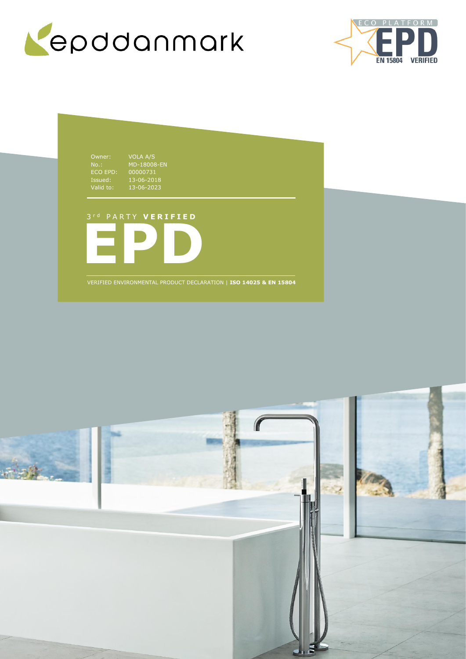



Owner: VOLA A/S NO..<br>ECO EPD:<br>Issued:<br>Valid to: Issued: 13-06-2018 Valid to: 13-06-2023

MD-18008-EN 00000731

3 r d P A R T Y **V E R I F I E D**



VERIFIED ENVIRONMENTAL PRODUCT DECLARATION | **ISO 14025 & EN 15804**

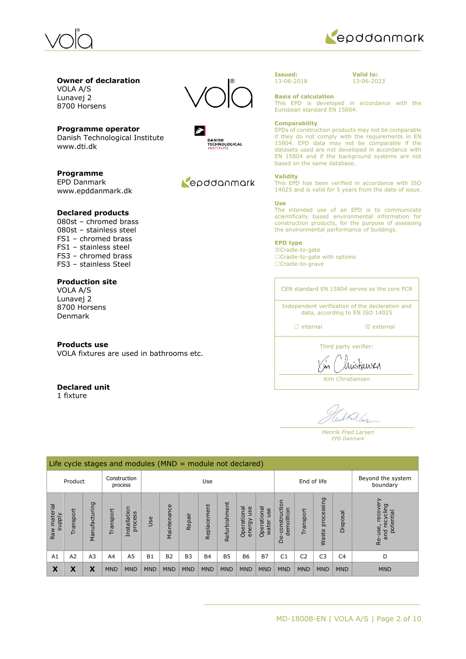



**Valid to:** 13-06-2023

### **Owner of declaration** VOLA A/S

Lunavej 2 8700 Horsens

**Programme operator** Danish Technological Institute www.dti.dk

**Programme** EPD Danmark www.epddanmark.dk

## **Declared products**

080st – chromed brass 080st – stainless steel FS1 – chromed brass FS1 – stainless steel FS3 – chromed brass FS3 – stainless Steel

## **Production site**

VOLA A/S Lunavej 2 8700 Horsens Denmark

## **Products use**

VOLA fixtures are used in bathrooms etc.

## **Declared unit**

1 fixture





## Repodanmark

### **Issued:** 13-06-2018

**Basis of calculation** This EPD is developed in accordance with the European standard EN 15804.

### **Comparability**

EPDs of construction products may not be comparable if they do not comply with the requirements in EN 15804. EPD data may not be comparable if the datasets used are not developed in accordance with EN 15804 and if the background systems are not based on the same database.

### **Validity**

This EPD has been verified in accordance with ISO 14025 and is valid for 5 years from the date of issue.

### **Use**

The intended use of an EPD is to communicate scientifically based environmental information for construction products, for the purpose of assessing the environmental performance of buildings.

## **EPD type**

☒Cradle-to-gate ☐Cradle-to-gate with options ☐Cradle-to-grave

CEN standard EN 15804 serves as the core PCR Independent verification of the declaration and data, according to EN ISO 14025 □ internal **a** external

Third party verifier:

*Kim Christiansen*

austiawer

Kalas

*Henrik Fred Larsen EPD Danmark*

|                               | Life cycle stages and modules ( $MND =$ module not declared) |                |                |                         |            |                    |                |             |               |                               |                             |                                 |                |                     |                |                                                     |
|-------------------------------|--------------------------------------------------------------|----------------|----------------|-------------------------|------------|--------------------|----------------|-------------|---------------|-------------------------------|-----------------------------|---------------------------------|----------------|---------------------|----------------|-----------------------------------------------------|
|                               | Product                                                      |                |                | Construction<br>process |            | End of life<br>Use |                |             |               | Beyond the system<br>boundary |                             |                                 |                |                     |                |                                                     |
| Raw material<br><b>Alddns</b> | Transport                                                    | Manufacturing  | ransport       | Installation<br>process | Use        | Maintenance        | Repair         | Replacement | Refurbishment | Operational<br>use<br>energy  | Operational<br>use<br>water | construction<br>demolition<br>ف | Transport      | processing<br>Waste | Disposal       | recover<br>recycling<br>potential<br>Re-use,<br>and |
| A1                            | A2                                                           | A <sub>3</sub> | A <sub>4</sub> | A <sub>5</sub>          | <b>B1</b>  | <b>B2</b>          | B <sub>3</sub> | <b>B4</b>   | <b>B5</b>     | <b>B6</b>                     | <b>B7</b>                   | C <sub>1</sub>                  | C <sub>2</sub> | C <sub>3</sub>      | C <sub>4</sub> | D                                                   |
| X                             | Χ                                                            | X              | <b>MND</b>     | <b>MND</b>              | <b>MND</b> | <b>MND</b>         | <b>MND</b>     | <b>MND</b>  | <b>MND</b>    | <b>MND</b>                    | <b>MND</b>                  | <b>MND</b>                      | <b>MND</b>     | <b>MND</b>          | <b>MND</b>     | <b>MND</b>                                          |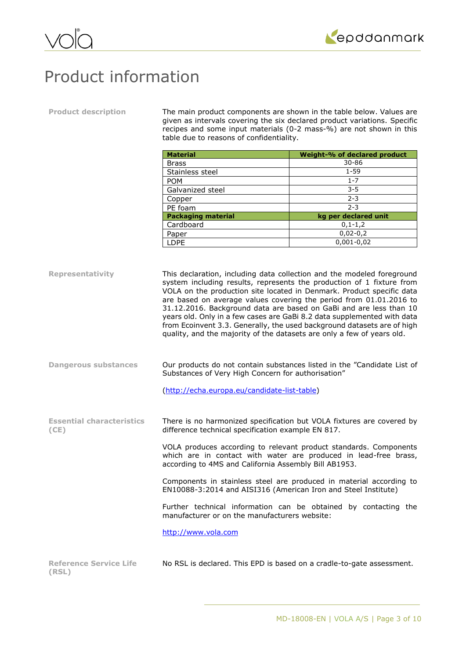



## Product information

**Product description** The main product components are shown in the table below. Values are given as intervals covering the six declared product variations. Specific recipes and some input materials (0-2 mass-%) are not shown in this table due to reasons of confidentiality.

| <b>Material</b>           | Weight-% of declared product |  |  |  |  |
|---------------------------|------------------------------|--|--|--|--|
| <b>Brass</b>              | $30 - 86$                    |  |  |  |  |
| Stainless steel           | $1 - 59$                     |  |  |  |  |
| <b>POM</b>                | $1 - 7$                      |  |  |  |  |
| Galvanized steel          | $3 - 5$                      |  |  |  |  |
| Copper                    | $2 - 3$                      |  |  |  |  |
| PE foam                   | $2 - 3$                      |  |  |  |  |
| <b>Packaging material</b> | kg per declared unit         |  |  |  |  |
| Cardboard                 | $0, 1 - 1, 2$                |  |  |  |  |
| Paper                     | $0,02-0,2$                   |  |  |  |  |
| <b>LDPE</b>               | $0,001 - 0,02$               |  |  |  |  |

**Representativity** This declaration, including data collection and the modeled foreground system including results, represents the production of 1 fixture from VOLA on the production site located in Denmark. Product specific data are based on average values covering the period from 01.01.2016 to 31.12.2016. Background data are based on GaBi and are less than 10 years old. Only in a few cases are GaBi 8.2 data supplemented with data from Ecoinvent 3.3. Generally, the used background datasets are of high quality, and the majority of the datasets are only a few of years old.

**Dangerous substances** Our products do not contain substances listed in the "Candidate List of Substances of Very High Concern for authorisation"

[\(http://echa.europa.eu/candidate-list-table\)](http://echa.europa.eu/candidate-list-table)

**Essential characteristics (CE)** There is no harmonized specification but VOLA fixtures are covered by difference technical specification example EN 817.

> VOLA produces according to relevant product standards. Components which are in contact with water are produced in lead-free brass, according to 4MS and California Assembly Bill AB1953.

> Components in stainless steel are produced in material according to EN10088-3:2014 and AISI316 (American Iron and Steel Institute)

> Further technical information can be obtained by contacting the manufacturer or on the manufacturers website:

[http://www.v](http://www.isoklinker.de/en/isoklinker-vendor-information/)ola.com

| <b>Reference Service Life</b> | No RSL is declared. This EPD is based on a cradle-to-gate assessment. |
|-------------------------------|-----------------------------------------------------------------------|
| (RSL)                         |                                                                       |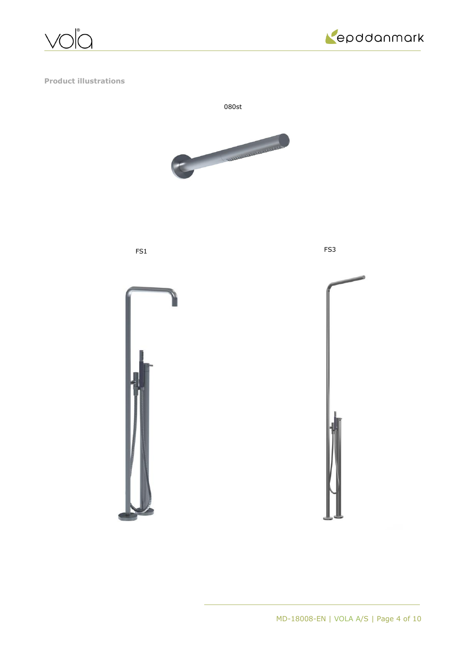



**Product illustrations**



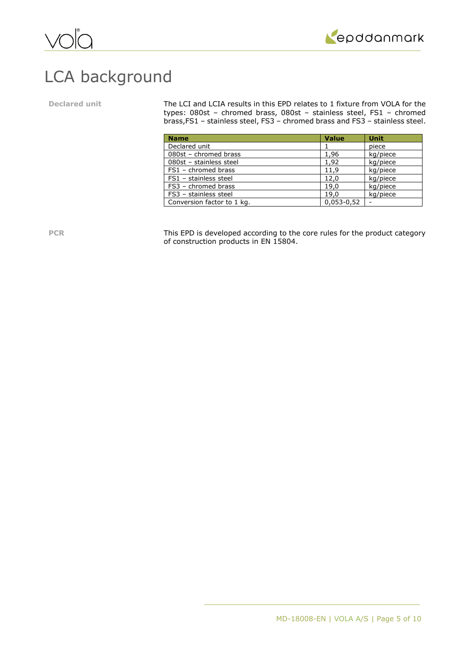

## LCA background

Declared unit The LCI and LCIA results in this EPD relates to 1 fixture from VOLA for the types: 080st – chromed brass, 080st – stainless steel, FS1 – chromed brass,FS1 – stainless steel, FS3 – chromed brass and FS3 – stainless steel.

| <b>Name</b>                | <b>Value</b> | <b>Unit</b> |
|----------------------------|--------------|-------------|
| Declared unit              |              | piece       |
| 080st - chromed brass      | 1,96         | kg/piece    |
| 080st - stainless steel    | 1,92         | kg/piece    |
| FS1 - chromed brass        | 11,9         | kg/piece    |
| FS1 - stainless steel      | 12,0         | kg/piece    |
| FS3 - chromed brass        | 19.0         | kg/piece    |
| FS3 - stainless steel      | 19.0         | kg/piece    |
| Conversion factor to 1 kg. | $0,053-0,52$ |             |

PCR This EPD is developed according to the core rules for the product category of construction products in EN 15804.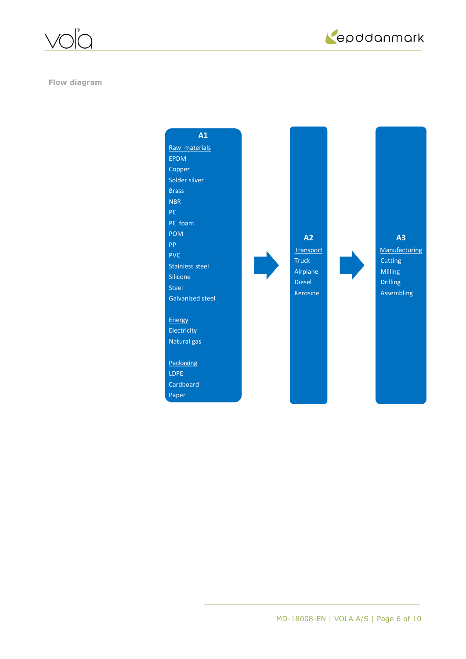

epddanmark

**Flow diagram**

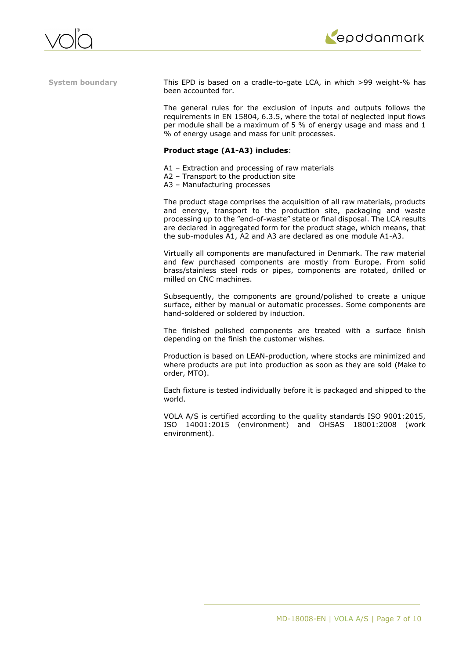



**System boundary** This EPD is based on a cradle-to-gate LCA, in which >99 weight-% has been accounted for.

> The general rules for the exclusion of inputs and outputs follows the requirements in EN 15804, 6.3.5, where the total of neglected input flows per module shall be a maximum of 5 % of energy usage and mass and 1 % of energy usage and mass for unit processes.

## **Product stage (A1-A3) includes**:

- A1 Extraction and processing of raw materials
- A2 Transport to the production site
- A3 Manufacturing processes

The product stage comprises the acquisition of all raw materials, products and energy, transport to the production site, packaging and waste processing up to the "end-of-waste" state or final disposal. The LCA results are declared in aggregated form for the product stage, which means, that the sub-modules A1, A2 and A3 are declared as one module A1-A3.

Virtually all components are manufactured in Denmark. The raw material and few purchased components are mostly from Europe. From solid brass/stainless steel rods or pipes, components are rotated, drilled or milled on CNC machines.

Subsequently, the components are ground/polished to create a unique surface, either by manual or automatic processes. Some components are hand-soldered or soldered by induction.

The finished polished components are treated with a surface finish depending on the finish the customer wishes.

Production is based on LEAN-production, where stocks are minimized and where products are put into production as soon as they are sold (Make to order, MTO).

Each fixture is tested individually before it is packaged and shipped to the world.

VOLA A/S is certified according to the quality standards ISO 9001:2015, ISO 14001:2015 (environment) and OHSAS 18001:2008 (work environment).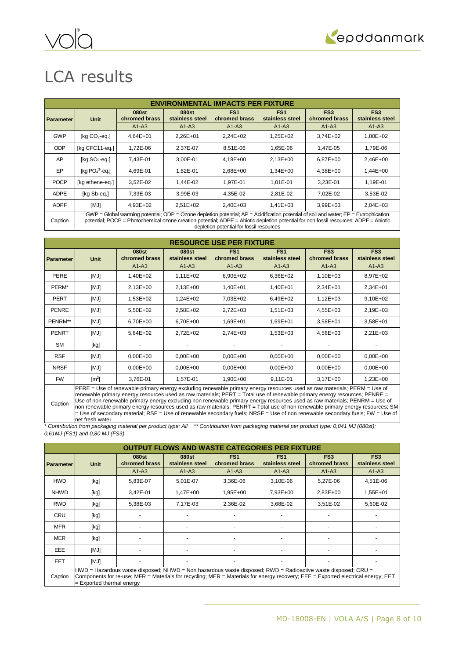

# LCA results

| <b>ENVIRONMENTAL IMPACTS PER FIXTURE</b> |                                                                                                                                                                                                                                                                                     |                                    |                          |                                  |                                    |                                  |                                    |
|------------------------------------------|-------------------------------------------------------------------------------------------------------------------------------------------------------------------------------------------------------------------------------------------------------------------------------------|------------------------------------|--------------------------|----------------------------------|------------------------------------|----------------------------------|------------------------------------|
| <b>Parameter</b>                         | Unit                                                                                                                                                                                                                                                                                | 080 <sub>st</sub><br>chromed brass | 080st<br>stainless steel | FS <sub>1</sub><br>chromed brass | FS <sub>1</sub><br>stainless steel | FS <sub>3</sub><br>chromed brass | FS <sub>3</sub><br>stainless steel |
|                                          |                                                                                                                                                                                                                                                                                     | $A1-A3$                            | $A1-A3$                  | $A1-A3$                          | $A1-A3$                            | $A1-A3$                          | $A1-A3$                            |
| <b>GWP</b>                               | [ $kg CO2$ -eq.]                                                                                                                                                                                                                                                                    | 4,64E+01                           | 2,26E+01                 | 2,24E+02                         | 1,25E+02                           | 3,74E+02                         | 1,80E+02                           |
| <b>ODP</b>                               | [kg CFC11-eg.]                                                                                                                                                                                                                                                                      | 1,72E-06                           | 2,37E-07                 | 8,51E-06                         | 1,65E-06                           | 1,47E-05                         | 1,79E-06                           |
| AP                                       | $[kq SO2-eq.]$                                                                                                                                                                                                                                                                      | 7,43E-01                           | 3,00E-01                 | 4,18E+00                         | 2,13E+00                           | 6,87E+00                         | 2,46E+00                           |
| EP                                       | [kg $PO43$ -eq.]                                                                                                                                                                                                                                                                    | 4.69E-01                           | 1,82E-01                 | 2,68E+00                         | $1.34E + 00$                       | 4.38E+00                         | 1,44E+00                           |
| <b>POCP</b>                              | [kg ethene-eg.]                                                                                                                                                                                                                                                                     | 3,52E-02                           | 1.44E-02                 | 1.97E-01                         | 1.01E-01                           | 3.23E-01                         | 1,19E-01                           |
| <b>ADPE</b>                              | [kg Sb-eq.]                                                                                                                                                                                                                                                                         | 7,33E-03                           | 3,99E-03                 | 4,35E-02                         | 2,81E-02                           | 7,02E-02                         | 3,53E-02                           |
| <b>ADPF</b>                              | [MJ]                                                                                                                                                                                                                                                                                | 4,93E+02                           | 2,51E+02                 | 2,40E+03                         | $1,41E+03$                         | 3,99E+03                         | $2,04E+03$                         |
| Caption                                  | $GWP = Global$ warming potential; ODP = Ozone depletion potential; $AP = Acidification$ potential of soil and water; $EP = Eutrophication$<br>potential; POCP = Photochemical ozone creation potential; ADPE = Abiotic depletion potential for non fossil resources; ADPF = Abiotic |                                    |                          |                                  |                                    |                                  |                                    |

depletion potential for fossil resources

| <b>RESOURCE USE PER FIXTURE</b> |                                                                                                                                                                                                                                                                                                                                                                                                                                                                                                                                                                                                                                                       |                        |                          |                                  |                                    |                                  |                                    |
|---------------------------------|-------------------------------------------------------------------------------------------------------------------------------------------------------------------------------------------------------------------------------------------------------------------------------------------------------------------------------------------------------------------------------------------------------------------------------------------------------------------------------------------------------------------------------------------------------------------------------------------------------------------------------------------------------|------------------------|--------------------------|----------------------------------|------------------------------------|----------------------------------|------------------------------------|
| <b>Parameter</b>                | Unit                                                                                                                                                                                                                                                                                                                                                                                                                                                                                                                                                                                                                                                  | 080st<br>chromed brass | 080st<br>stainless steel | FS <sub>1</sub><br>chromed brass | FS <sub>1</sub><br>stainless steel | FS <sub>3</sub><br>chromed brass | FS <sub>3</sub><br>stainless steel |
|                                 |                                                                                                                                                                                                                                                                                                                                                                                                                                                                                                                                                                                                                                                       | $A1-A3$                | $A1-A3$                  | $A1-A3$                          | $A1-A3$                            | $A1-A3$                          | $A1-A3$                            |
| PERE                            | [MJ]                                                                                                                                                                                                                                                                                                                                                                                                                                                                                                                                                                                                                                                  | 1,40E+02               | $1,11E+02$               | 6,90E+02                         | 6,36E+02                           | 1,10E+03                         | 8,97E+02                           |
| PERM*                           | [MJ]                                                                                                                                                                                                                                                                                                                                                                                                                                                                                                                                                                                                                                                  | $2,13E+00$             | $2,13E+00$               | 1,40E+01                         | 1,40E+01                           | 2,34E+01                         | 2,34E+01                           |
| PERT                            | [MJ]                                                                                                                                                                                                                                                                                                                                                                                                                                                                                                                                                                                                                                                  | 1,53E+02               | 1,24E+02                 | 7,03E+02                         | 6,49E+02                           | $1,12E+03$                       | 9,10E+02                           |
| <b>PENRE</b>                    | [MJ]                                                                                                                                                                                                                                                                                                                                                                                                                                                                                                                                                                                                                                                  | 5,50E+02               | 2,58E+02                 | 2,72E+03                         | $1,51E+03$                         | 4,55E+03                         | 2,19E+03                           |
| PENRM**                         | [MJ]                                                                                                                                                                                                                                                                                                                                                                                                                                                                                                                                                                                                                                                  | 6,70E+00               | 6,70E+00                 | 1,69E+01                         | 1,69E+01                           | 3,58E+01                         | 3,58E+01                           |
| <b>PENRT</b>                    | [MJ]                                                                                                                                                                                                                                                                                                                                                                                                                                                                                                                                                                                                                                                  | 5,64E+02               | 2,72E+02                 | 2,74E+03                         | 1,53E+03                           | 4,56E+03                         | $2,21E+03$                         |
| SM                              | [kg]                                                                                                                                                                                                                                                                                                                                                                                                                                                                                                                                                                                                                                                  |                        |                          |                                  |                                    |                                  |                                    |
| <b>RSF</b>                      | [MJ]                                                                                                                                                                                                                                                                                                                                                                                                                                                                                                                                                                                                                                                  | $0.00E + 00$           | $0,00E + 00$             | $0,00E + 00$                     | $0,00E + 00$                       | $0,00E + 00$                     | $0,00E+00$                         |
| <b>NRSF</b>                     | [MJ]                                                                                                                                                                                                                                                                                                                                                                                                                                                                                                                                                                                                                                                  | $0.00E + 00$           | $0,00E+00$               | $0,00E + 00$                     | $0,00E + 00$                       | $0,00E + 00$                     | $0,00E+00$                         |
| <b>FW</b>                       | $\mathsf{[m^3]}$                                                                                                                                                                                                                                                                                                                                                                                                                                                                                                                                                                                                                                      | 3,76E-01               | 1,57E-01                 | 1,90E+00                         | 9,11E-01                           | $3,17E+00$                       | 1,23E+00                           |
| Caption                         | PERE = Use of renewable primary energy excluding renewable primary energy resources used as raw materials; PERM = Use of<br>renewable primary energy resources used as raw materials; PERT = Total use of renewable primary energy resources; PENRE =<br>Use of non renewable primary energy excluding non renewable primary energy resources used as raw materials; PENRM = Use of<br>non renewable primary energy resources used as raw materials; PENRT = Total use of non renewable primary energy resources; SM<br>= Use of secondary material; RSF = Use of renewable secondary fuels; NRSF = Use of non renewable secondary fuels; FW = Use of |                        |                          |                                  |                                    |                                  |                                    |

net fresh water \* *Contribution from packaging material per product type: All \*\* Contribution from packaging material per product type: 0,041 MJ (080st); 0,61MJ (FS1) and 0,80 MJ (FS3)*

|                  | <b>OUTPUT FLOWS AND WASTE CATEGORIES PER FIXTURE</b> |                        |                          |                                  |                                    |                                                                                                                                                                                                                                                  |                                    |
|------------------|------------------------------------------------------|------------------------|--------------------------|----------------------------------|------------------------------------|--------------------------------------------------------------------------------------------------------------------------------------------------------------------------------------------------------------------------------------------------|------------------------------------|
| <b>Parameter</b> | Unit                                                 | 080st<br>chromed brass | 080st<br>stainless steel | FS <sub>1</sub><br>chromed brass | FS <sub>1</sub><br>stainless steel | FS <sub>3</sub><br>chromed brass                                                                                                                                                                                                                 | FS <sub>3</sub><br>stainless steel |
|                  |                                                      | $A1-A3$                | $A1-A3$                  | $A1-A3$                          | $A1-A3$                            | $A1-A3$                                                                                                                                                                                                                                          | $A1-A3$                            |
| <b>HWD</b>       | [kg]                                                 | 5,83E-07               | 5,01E-07                 | 3,36E-06                         | 3,10E-06                           | 5,27E-06                                                                                                                                                                                                                                         | 4,51E-06                           |
| <b>NHWD</b>      | [kg]                                                 | 3,42E-01               | 1,47E+00                 | 1,95E+00                         | 7,93E+00                           | 2,83E+00                                                                                                                                                                                                                                         | 1,55E+01                           |
| <b>RWD</b>       | [kg]                                                 | 5,38E-03               | 7,17E-03                 | 2,36E-02                         | 3,68E-02                           | 3,51E-02                                                                                                                                                                                                                                         | 5,60E-02                           |
| <b>CRU</b>       | [kg]                                                 |                        |                          |                                  |                                    |                                                                                                                                                                                                                                                  |                                    |
| <b>MFR</b>       | [kg]                                                 |                        |                          |                                  |                                    |                                                                                                                                                                                                                                                  |                                    |
| <b>MER</b>       | [kg]                                                 |                        |                          |                                  |                                    |                                                                                                                                                                                                                                                  |                                    |
| <b>EEE</b>       | [MJ]                                                 |                        |                          |                                  |                                    |                                                                                                                                                                                                                                                  |                                    |
| <b>EET</b>       | [MJ]                                                 |                        |                          |                                  |                                    |                                                                                                                                                                                                                                                  |                                    |
| Caption          | $=$ Exported thermal energy                          |                        |                          |                                  |                                    | HWD = Hazardous waste disposed; NHWD = Non hazardous waste disposed; RWD = Radioactive waste disposed; CRU =<br>Components for re-use; MFR = Materials for recycling; MER = Materials for energy recovery; EEE = Exported electrical energy; EET |                                    |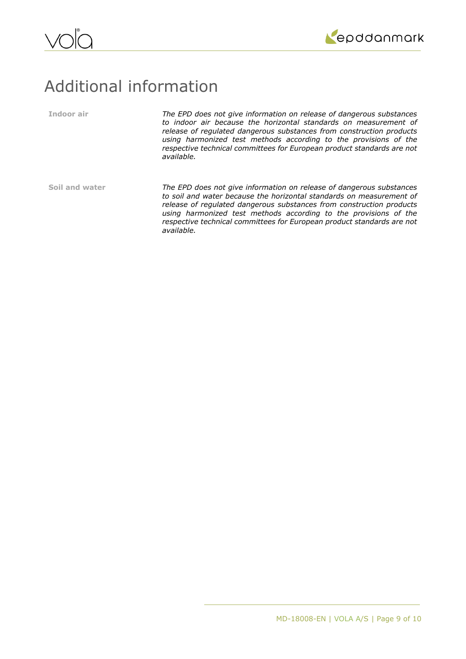



## Additional information

**Indoor air** *The EPD does not give information on release of dangerous substances to indoor air because the horizontal standards on measurement of release of regulated dangerous substances from construction products using harmonized test methods according to the provisions of the respective technical committees for European product standards are not available.*

**Soil and water** *The EPD does not give information on release of dangerous substances to soil and water because the horizontal standards on measurement of release of regulated dangerous substances from construction products using harmonized test methods according to the provisions of the respective technical committees for European product standards are not available.*